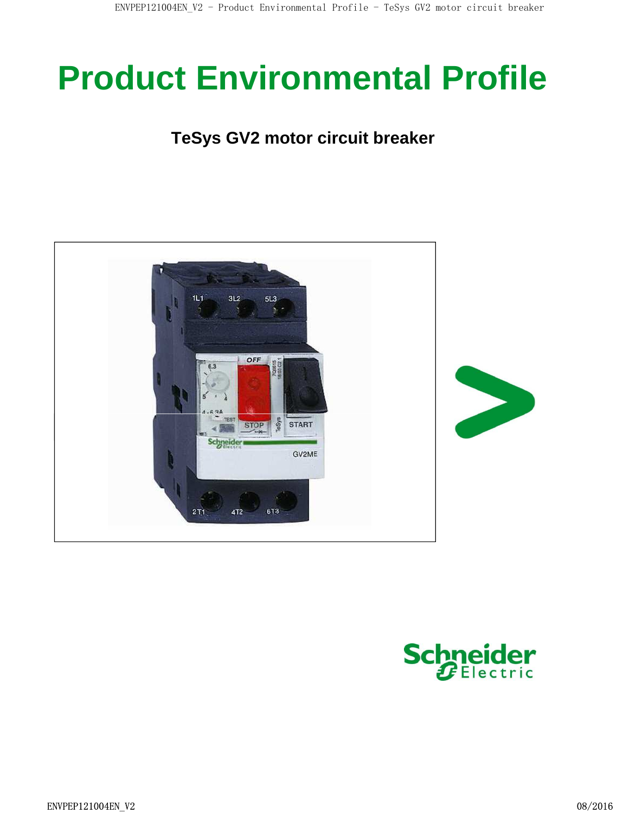# **Product Environmental Profile**

### **TeSys GV2 motor circuit breaker**



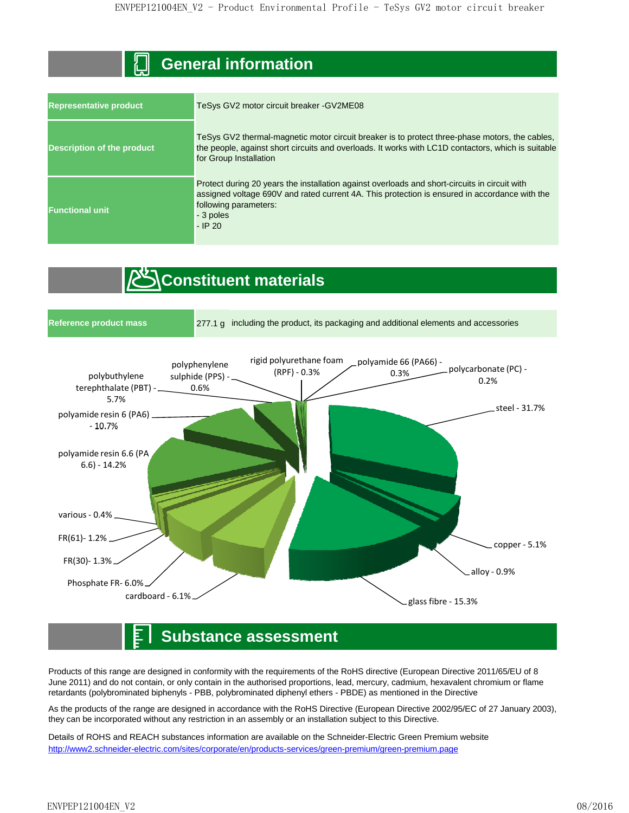#### **General information**

| <b>Representative product</b>     | TeSys GV2 motor circuit breaker - GV2ME08                                                                                                                                                                                                         |  |  |  |  |
|-----------------------------------|---------------------------------------------------------------------------------------------------------------------------------------------------------------------------------------------------------------------------------------------------|--|--|--|--|
| <b>Description of the product</b> | TeSys GV2 thermal-magnetic motor circuit breaker is to protect three-phase motors, the cables,<br>the people, against short circuits and overloads. It works with LC1D contactors, which is suitable<br>for Group Installation                    |  |  |  |  |
| <b>Functional unit</b>            | Protect during 20 years the installation against overloads and short-circuits in circuit with<br>assigned voltage 690V and rated current 4A. This protection is ensured in accordance with the<br>following parameters:<br>- 3 poles<br>$-$ IP 20 |  |  |  |  |

## *Constituent materials*



#### **Substance assessment**

Products of this range are designed in conformity with the requirements of the RoHS directive (European Directive 2011/65/EU of 8 June 2011) and do not contain, or only contain in the authorised proportions, lead, mercury, cadmium, hexavalent chromium or flame retardants (polybrominated biphenyls - PBB, polybrominated diphenyl ethers - PBDE) as mentioned in the Directive

As the products of the range are designed in accordance with the RoHS Directive (European Directive 2002/95/EC of 27 January 2003), they can be incorporated without any restriction in an assembly or an installation subject to this Directive.

Details of ROHS and REACH substances information are available on the Schneider-Electric Green Premium website http://www2.schneider-electric.com/sites/corporate/en/products-services/green-premium/green-premium.page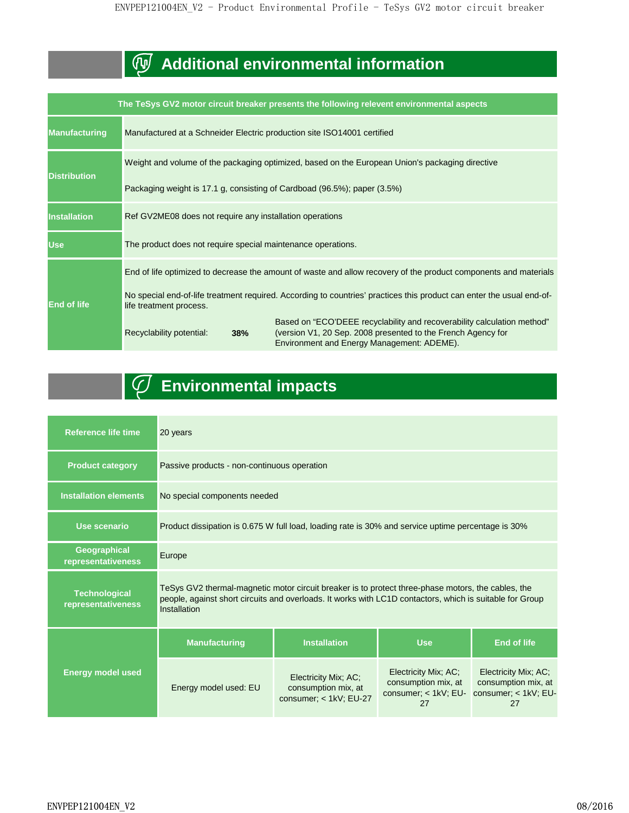## **Additional environmental information**

|                      |                                                                                                                       | The TeSys GV2 motor circuit breaker presents the following relevent environmental aspects                                                                                             |  |  |  |  |
|----------------------|-----------------------------------------------------------------------------------------------------------------------|---------------------------------------------------------------------------------------------------------------------------------------------------------------------------------------|--|--|--|--|
| <b>Manufacturing</b> | Manufactured at a Schneider Electric production site ISO14001 certified                                               |                                                                                                                                                                                       |  |  |  |  |
|                      |                                                                                                                       | Weight and volume of the packaging optimized, based on the European Union's packaging directive                                                                                       |  |  |  |  |
| <b>Distribution</b>  | Packaging weight is 17.1 g, consisting of Cardboad (96.5%); paper (3.5%)                                              |                                                                                                                                                                                       |  |  |  |  |
| <b>Installation</b>  | Ref GV2ME08 does not require any installation operations                                                              |                                                                                                                                                                                       |  |  |  |  |
| <b>Use</b>           | The product does not require special maintenance operations.                                                          |                                                                                                                                                                                       |  |  |  |  |
|                      | End of life optimized to decrease the amount of waste and allow recovery of the product components and materials      |                                                                                                                                                                                       |  |  |  |  |
| <b>End of life</b>   | No special end-of-life treatment required. According to countries' practices this product can enter the usual end-of- |                                                                                                                                                                                       |  |  |  |  |
|                      | Recyclability potential:<br>38%                                                                                       | Based on "ECO'DEEE recyclability and recoverability calculation method"<br>(version V1, 20 Sep. 2008 presented to the French Agency for<br>Environment and Energy Management: ADEME). |  |  |  |  |

## **Environmental impacts**

| <b>Reference life time</b>                 | 20 years                                                                                                                                                                                                                       |                                                                       |                                                                             |                                                                           |  |  |  |
|--------------------------------------------|--------------------------------------------------------------------------------------------------------------------------------------------------------------------------------------------------------------------------------|-----------------------------------------------------------------------|-----------------------------------------------------------------------------|---------------------------------------------------------------------------|--|--|--|
| <b>Product category</b>                    | Passive products - non-continuous operation                                                                                                                                                                                    |                                                                       |                                                                             |                                                                           |  |  |  |
| <b>Installation elements</b>               | No special components needed                                                                                                                                                                                                   |                                                                       |                                                                             |                                                                           |  |  |  |
| Use scenario                               | Product dissipation is 0.675 W full load, loading rate is 30% and service uptime percentage is 30%                                                                                                                             |                                                                       |                                                                             |                                                                           |  |  |  |
| Geographical<br>representativeness         | Europe                                                                                                                                                                                                                         |                                                                       |                                                                             |                                                                           |  |  |  |
| <b>Technological</b><br>representativeness | TeSys GV2 thermal-magnetic motor circuit breaker is to protect three-phase motors, the cables, the<br>people, against short circuits and overloads. It works with LC1D contactors, which is suitable for Group<br>Installation |                                                                       |                                                                             |                                                                           |  |  |  |
|                                            | <b>Manufacturing</b>                                                                                                                                                                                                           | <b>Installation</b>                                                   | <b>Use</b>                                                                  | <b>End of life</b>                                                        |  |  |  |
| <b>Energy model used</b>                   | Energy model used: EU                                                                                                                                                                                                          | Electricity Mix; AC;<br>consumption mix, at<br>consumer; < 1kV; EU-27 | Electricity Mix; AC;<br>consumption mix, at<br>consumer; $<$ 1kV; EU-<br>27 | Electricity Mix; AC;<br>consumption mix, at<br>consumer; < 1kV; EU-<br>27 |  |  |  |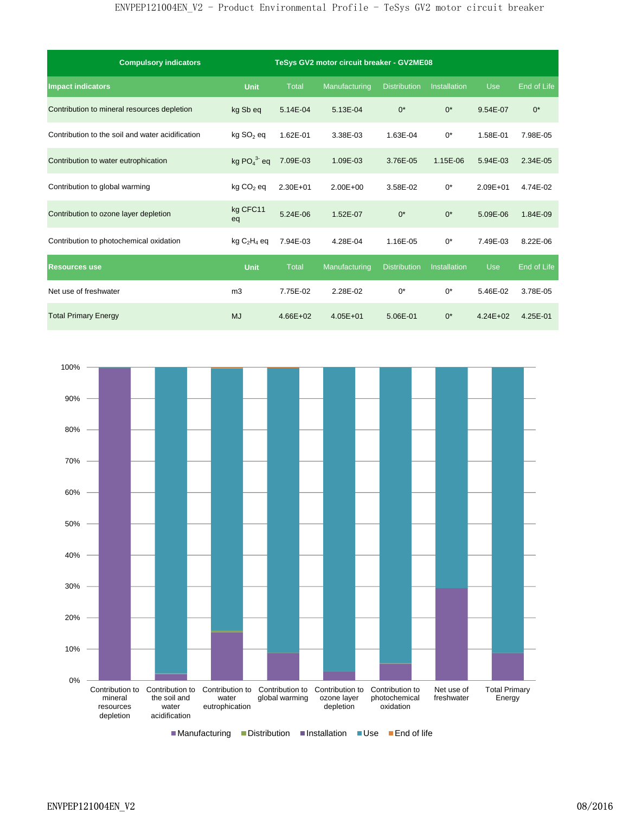| <b>Compulsory indicators</b>                     | TeSys GV2 motor circuit breaker - GV2ME08 |              |               |                     |                     |              |             |
|--------------------------------------------------|-------------------------------------------|--------------|---------------|---------------------|---------------------|--------------|-------------|
| <b>Impact indicators</b>                         | <b>Unit</b>                               | <b>Total</b> | Manufacturing | <b>Distribution</b> | <b>Installation</b> | <b>Use</b>   | End of Life |
| Contribution to mineral resources depletion      | kg Sb eq                                  | 5.14E-04     | 5.13E-04      | $0^*$               | $0^*$               | 9.54E-07     | $0^*$       |
| Contribution to the soil and water acidification | $kg$ SO <sub>2</sub> eq                   | 1.62E-01     | 3.38E-03      | 1.63E-04            | $0^*$               | 1.58E-01     | 7.98E-05    |
| Contribution to water eutrophication             | kg $PO43$ eq                              | 7.09E-03     | 1.09E-03      | 3.76E-05            | 1.15E-06            | 5.94E-03     | 2.34E-05    |
| Contribution to global warming                   | $kg CO2$ eq                               | 2.30E+01     | 2.00E+00      | 3.58E-02            | $0^*$               | $2.09E + 01$ | 4.74E-02    |
| Contribution to ozone layer depletion            | kg CFC11<br>eq                            | 5.24E-06     | 1.52E-07      | $0^*$               | $0^*$               | 5.09E-06     | 1.84E-09    |
| Contribution to photochemical oxidation          | $kg C2H4$ eq                              | 7.94E-03     | 4.28E-04      | 1.16E-05            | $0^*$               | 7.49E-03     | 8.22E-06    |
| <b>Resources use</b>                             | Unit                                      | <b>Total</b> | Manufacturing | <b>Distribution</b> | Installation        | <b>Use</b>   | End of Life |
| Net use of freshwater                            | m <sub>3</sub>                            | 7.75E-02     | 2.28E-02      | $0^*$               | $0^*$               | 5.46E-02     | 3.78E-05    |
| <b>Total Primary Energy</b>                      | <b>MJ</b>                                 | $4.66E + 02$ | $4.05E + 01$  | 5.06E-01            | $0^*$               | $4.24E + 02$ | 4.25E-01    |

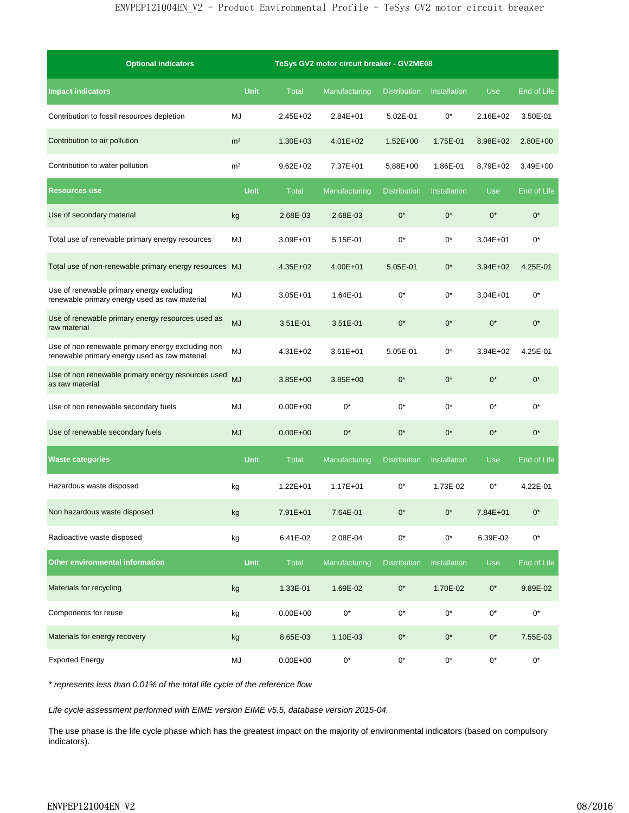| <b>Optional indicators</b>                                                                         |                | TeSys GV2 motor circuit breaker - GV2ME08 |               |                     |                     |              |              |
|----------------------------------------------------------------------------------------------------|----------------|-------------------------------------------|---------------|---------------------|---------------------|--------------|--------------|
| <b>Impact indicators</b>                                                                           | <b>Unit</b>    | <b>Total</b>                              | Manufacturing | <b>Distribution</b> | <b>Installation</b> | <b>Use</b>   | End of Life  |
| Contribution to fossil resources depletion                                                         | MJ             | 2.45E+02                                  | $2.84E + 01$  | 5.02E-01            | $0^*$               | $2.16E + 02$ | 3.50E-01     |
| Contribution to air pollution                                                                      | m <sup>3</sup> | 1.30E+03                                  | $4.01E + 02$  | $1.52E + 00$        | 1.75E-01            | 8.98E+02     | $2.80E + 00$ |
| Contribution to water pollution                                                                    | m <sup>3</sup> | $9.62E + 02$                              | 7.37E+01      | 5.88E+00            | 1.86E-01            | 8.79E+02     | 3.49E+00     |
| <b>Resources use</b>                                                                               | <b>Unit</b>    | <b>Total</b>                              | Manufacturing | <b>Distribution</b> | <b>Installation</b> | <b>Use</b>   | End of Life  |
| Use of secondary material                                                                          | kg             | 2.68E-03                                  | 2.68E-03      | $0^*$               | $0^*$               | $0^*$        | $0^*$        |
| Total use of renewable primary energy resources                                                    | MJ             | 3.09E+01                                  | 5.15E-01      | $0^*$               | $0^*$               | $3.04E + 01$ | $0^*$        |
| Total use of non-renewable primary energy resources MJ                                             |                | 4.35E+02                                  | $4.00E + 01$  | 5.05E-01            | $0^*$               | $3.94E + 02$ | 4.25E-01     |
| Use of renewable primary energy excluding<br>renewable primary energy used as raw material         | MJ             | 3.05E+01                                  | 1.64E-01      | $0^*$               | $0^*$               | $3.04E + 01$ | $0^*$        |
| Use of renewable primary energy resources used as<br>raw material                                  | <b>MJ</b>      | 3.51E-01                                  | 3.51E-01      | $0^*$               | $0^*$               | $0^*$        | $0^*$        |
| Use of non renewable primary energy excluding non<br>renewable primary energy used as raw material | MJ             | 4.31E+02                                  | $3.61E + 01$  | 5.05E-01            | $0^*$               | 3.94E+02     | 4.25E-01     |
| Use of non renewable primary energy resources used<br>as raw material                              | <b>MJ</b>      | 3.85E+00                                  | 3.85E+00      | $0^*$               | $0^*$               | $0^*$        | $0^*$        |
| Use of non renewable secondary fuels                                                               | MJ             | $0.00E + 00$                              | $0^*$         | $0^*$               | $0^*$               | $0^*$        | $0^*$        |
| Use of renewable secondary fuels                                                                   | <b>MJ</b>      | $0.00E + 00$                              | $0^*$         | $0^*$               | $0^*$               | $0^*$        | $0^*$        |
| <b>Waste categories</b>                                                                            | <b>Unit</b>    | <b>Total</b>                              | Manufacturing | <b>Distribution</b> | <b>Installation</b> | <b>Use</b>   | End of Life  |
| Hazardous waste disposed                                                                           | kg             | 1.22E+01                                  | 1.17E+01      | $0^*$               | 1.73E-02            | 0*           | 4.22E-01     |
| Non hazardous waste disposed                                                                       | kg             | 7.91E+01                                  | 7.64E-01      | $0^*$               | 0*                  | 7.84E+01     |              |
| Radioactive waste disposed                                                                         | kg             | 6.41E-02                                  | 2.08E-04      | $0^*$               | $0^{\star}$         | 6.39E-02     | $0^*$        |
| Other environmental information                                                                    | <b>Unit</b>    | <b>Total</b>                              | Manufacturing | <b>Distribution</b> | Installation        | <b>Use</b>   | End of Life  |
| Materials for recycling                                                                            | kg             | 1.33E-01                                  | 1.69E-02      | $0^\star$           | 1.70E-02            | $0^*$        | 9.89E-02     |
| Components for reuse                                                                               | kg             | $0.00E + 00$                              | $0^*$         | $0^*$               | $0^*$               | $0^*$        | $0^{\star}$  |
| Materials for energy recovery                                                                      | kg             | 8.65E-03                                  | 1.10E-03      | $0^*$               | $0^*$               | $0^\star$    | 7.55E-03     |
| <b>Exported Energy</b>                                                                             | MJ             | $0.00E + 00$                              | $0^\star$     | $0^*$               | $0^\star$           | $0^\star$    | $0^\star$    |

\* represents less than 0.01% of the total life cycle of the reference flow

Life cycle assessment performed with EIME version EIME v5.5, database version 2015-04.

The use phase is the life cycle phase which has the greatest impact on the majority of environmental indicators (based on compulsory indicators).